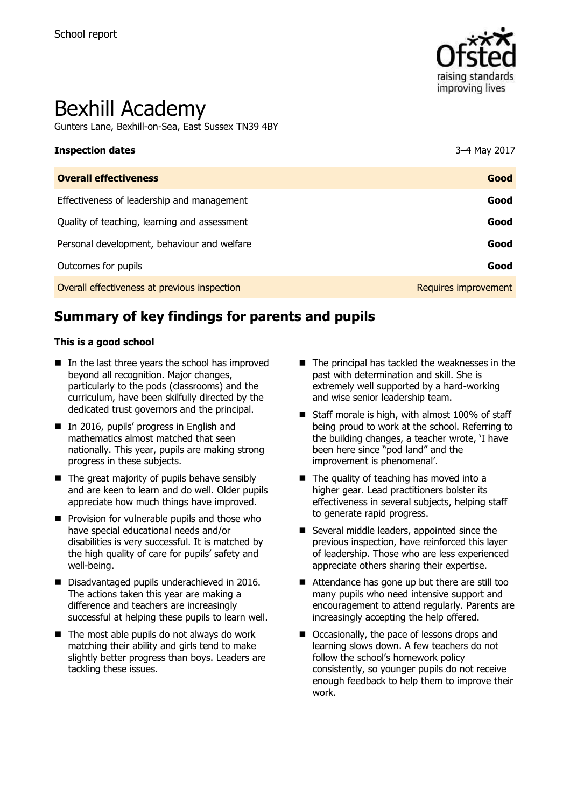

# Bexhill Academy

Gunters Lane, Bexhill-on-Sea, East Sussex TN39 4BY

| <b>Inspection dates</b>                      | 3-4 May 2017         |
|----------------------------------------------|----------------------|
| <b>Overall effectiveness</b>                 | Good                 |
| Effectiveness of leadership and management   | Good                 |
| Quality of teaching, learning and assessment | Good                 |
| Personal development, behaviour and welfare  | Good                 |
| Outcomes for pupils                          | Good                 |
| Overall effectiveness at previous inspection | Requires improvement |

# **Summary of key findings for parents and pupils**

#### **This is a good school**

- $\blacksquare$  In the last three years the school has improved beyond all recognition. Major changes, particularly to the pods (classrooms) and the curriculum, have been skilfully directed by the dedicated trust governors and the principal.
- In 2016, pupils' progress in English and mathematics almost matched that seen nationally. This year, pupils are making strong progress in these subjects.
- $\blacksquare$  The great majority of pupils behave sensibly and are keen to learn and do well. Older pupils appreciate how much things have improved.
- **Provision for vulnerable pupils and those who** have special educational needs and/or disabilities is very successful. It is matched by the high quality of care for pupils' safety and well-being.
- Disadvantaged pupils underachieved in 2016. The actions taken this year are making a difference and teachers are increasingly successful at helping these pupils to learn well.
- $\blacksquare$  The most able pupils do not always do work matching their ability and girls tend to make slightly better progress than boys. Leaders are tackling these issues.
- $\blacksquare$  The principal has tackled the weaknesses in the past with determination and skill. She is extremely well supported by a hard-working and wise senior leadership team.
- Staff morale is high, with almost 100% of staff being proud to work at the school. Referring to the building changes, a teacher wrote, 'I have been here since "pod land" and the improvement is phenomenal'.
- $\blacksquare$  The quality of teaching has moved into a higher gear. Lead practitioners bolster its effectiveness in several subjects, helping staff to generate rapid progress.
- Several middle leaders, appointed since the previous inspection, have reinforced this layer of leadership. Those who are less experienced appreciate others sharing their expertise.
- Attendance has gone up but there are still too many pupils who need intensive support and encouragement to attend regularly. Parents are increasingly accepting the help offered.
- Occasionally, the pace of lessons drops and learning slows down. A few teachers do not follow the school's homework policy consistently, so younger pupils do not receive enough feedback to help them to improve their work.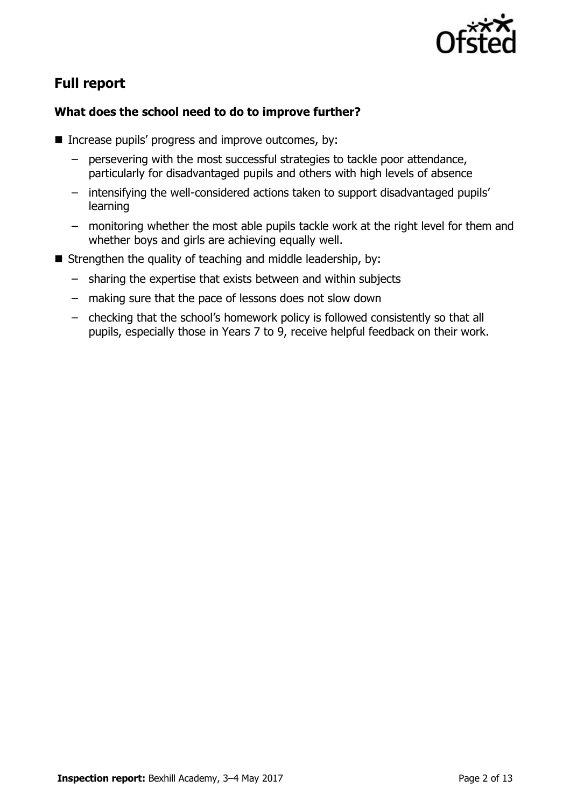

# **Full report**

### **What does the school need to do to improve further?**

- $\blacksquare$  Increase pupils' progress and improve outcomes, by:
	- persevering with the most successful strategies to tackle poor attendance, particularly for disadvantaged pupils and others with high levels of absence
	- intensifying the well-considered actions taken to support disadvantaged pupils' learning
	- monitoring whether the most able pupils tackle work at the right level for them and whether boys and girls are achieving equally well.
- Strengthen the quality of teaching and middle leadership, by:
	- sharing the expertise that exists between and within subjects
	- making sure that the pace of lessons does not slow down
	- checking that the school's homework policy is followed consistently so that all pupils, especially those in Years 7 to 9, receive helpful feedback on their work.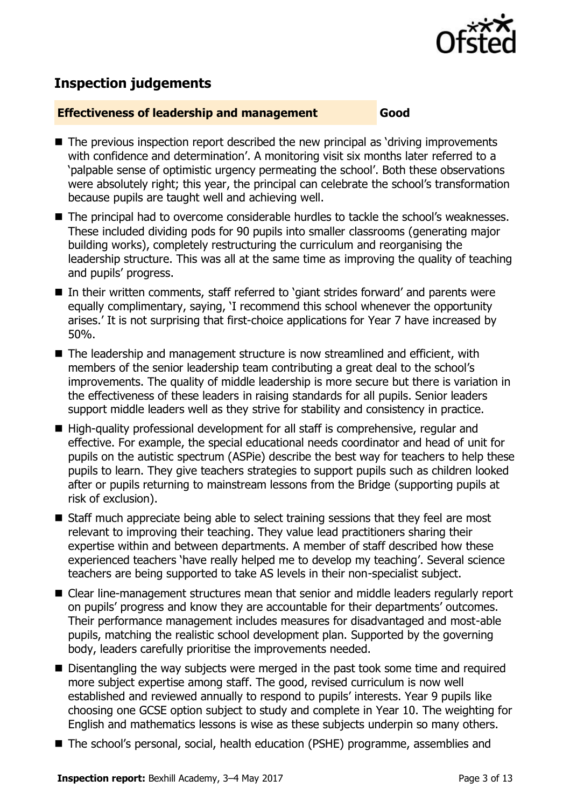

# **Inspection judgements**

#### **Effectiveness of leadership and management Good**

- The previous inspection report described the new principal as 'driving improvements with confidence and determination'. A monitoring visit six months later referred to a 'palpable sense of optimistic urgency permeating the school'. Both these observations were absolutely right; this year, the principal can celebrate the school's transformation because pupils are taught well and achieving well.
- The principal had to overcome considerable hurdles to tackle the school's weaknesses. These included dividing pods for 90 pupils into smaller classrooms (generating major building works), completely restructuring the curriculum and reorganising the leadership structure. This was all at the same time as improving the quality of teaching and pupils' progress.
- In their written comments, staff referred to 'giant strides forward' and parents were equally complimentary, saying, 'I recommend this school whenever the opportunity arises.' It is not surprising that first-choice applications for Year 7 have increased by 50%.
- The leadership and management structure is now streamlined and efficient, with members of the senior leadership team contributing a great deal to the school's improvements. The quality of middle leadership is more secure but there is variation in the effectiveness of these leaders in raising standards for all pupils. Senior leaders support middle leaders well as they strive for stability and consistency in practice.
- High-quality professional development for all staff is comprehensive, regular and effective. For example, the special educational needs coordinator and head of unit for pupils on the autistic spectrum (ASPie) describe the best way for teachers to help these pupils to learn. They give teachers strategies to support pupils such as children looked after or pupils returning to mainstream lessons from the Bridge (supporting pupils at risk of exclusion).
- Staff much appreciate being able to select training sessions that they feel are most relevant to improving their teaching. They value lead practitioners sharing their expertise within and between departments. A member of staff described how these experienced teachers 'have really helped me to develop my teaching'. Several science teachers are being supported to take AS levels in their non-specialist subject.
- Clear line-management structures mean that senior and middle leaders regularly report on pupils' progress and know they are accountable for their departments' outcomes. Their performance management includes measures for disadvantaged and most-able pupils, matching the realistic school development plan. Supported by the governing body, leaders carefully prioritise the improvements needed.
- Disentangling the way subjects were merged in the past took some time and required more subject expertise among staff. The good, revised curriculum is now well established and reviewed annually to respond to pupils' interests. Year 9 pupils like choosing one GCSE option subject to study and complete in Year 10. The weighting for English and mathematics lessons is wise as these subjects underpin so many others.
- The school's personal, social, health education (PSHE) programme, assemblies and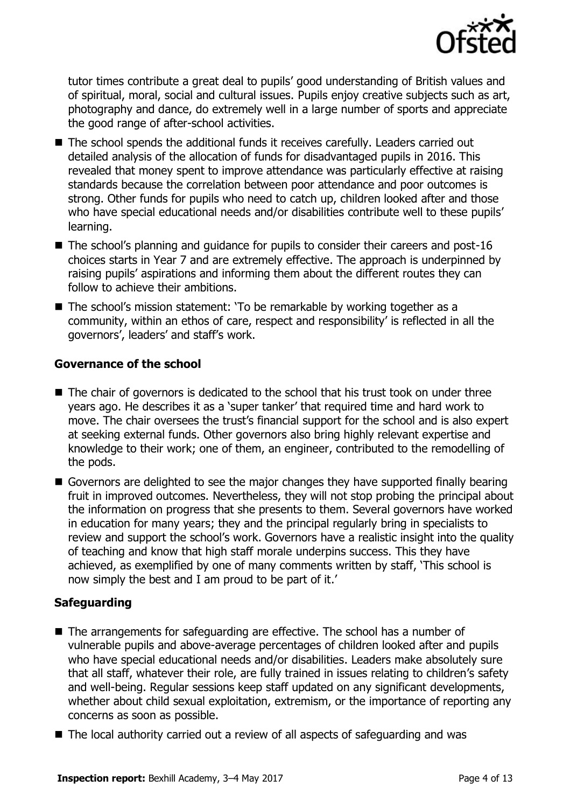

tutor times contribute a great deal to pupils' good understanding of British values and of spiritual, moral, social and cultural issues. Pupils enjoy creative subjects such as art, photography and dance, do extremely well in a large number of sports and appreciate the good range of after-school activities.

- The school spends the additional funds it receives carefully. Leaders carried out detailed analysis of the allocation of funds for disadvantaged pupils in 2016. This revealed that money spent to improve attendance was particularly effective at raising standards because the correlation between poor attendance and poor outcomes is strong. Other funds for pupils who need to catch up, children looked after and those who have special educational needs and/or disabilities contribute well to these pupils' learning.
- The school's planning and quidance for pupils to consider their careers and post-16 choices starts in Year 7 and are extremely effective. The approach is underpinned by raising pupils' aspirations and informing them about the different routes they can follow to achieve their ambitions.
- The school's mission statement: 'To be remarkable by working together as a community, within an ethos of care, respect and responsibility' is reflected in all the governors', leaders' and staff's work.

#### **Governance of the school**

- The chair of governors is dedicated to the school that his trust took on under three years ago. He describes it as a 'super tanker' that required time and hard work to move. The chair oversees the trust's financial support for the school and is also expert at seeking external funds. Other governors also bring highly relevant expertise and knowledge to their work; one of them, an engineer, contributed to the remodelling of the pods.
- Governors are delighted to see the major changes they have supported finally bearing fruit in improved outcomes. Nevertheless, they will not stop probing the principal about the information on progress that she presents to them. Several governors have worked in education for many years; they and the principal regularly bring in specialists to review and support the school's work. Governors have a realistic insight into the quality of teaching and know that high staff morale underpins success. This they have achieved, as exemplified by one of many comments written by staff, 'This school is now simply the best and I am proud to be part of it.'

#### **Safeguarding**

- The arrangements for safeguarding are effective. The school has a number of vulnerable pupils and above-average percentages of children looked after and pupils who have special educational needs and/or disabilities. Leaders make absolutely sure that all staff, whatever their role, are fully trained in issues relating to children's safety and well-being. Regular sessions keep staff updated on any significant developments, whether about child sexual exploitation, extremism, or the importance of reporting any concerns as soon as possible.
- The local authority carried out a review of all aspects of safeguarding and was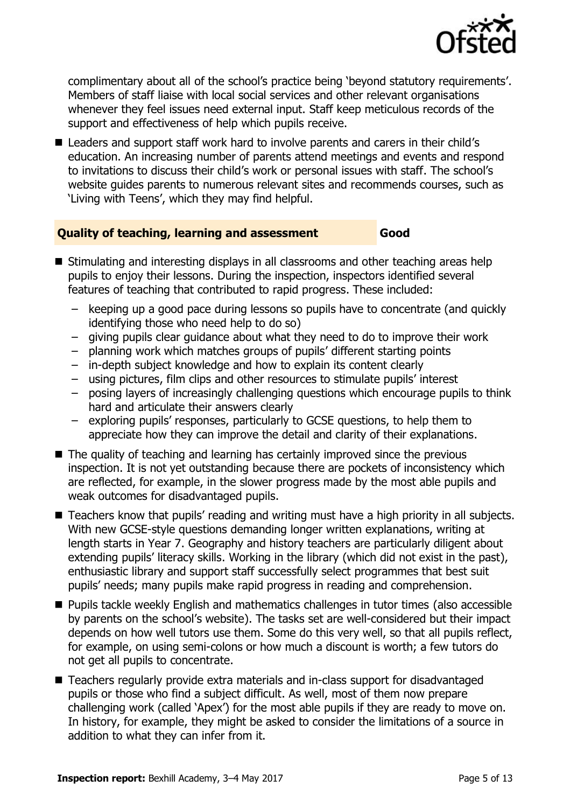

complimentary about all of the school's practice being 'beyond statutory requirements'. Members of staff liaise with local social services and other relevant organisations whenever they feel issues need external input. Staff keep meticulous records of the support and effectiveness of help which pupils receive.

■ Leaders and support staff work hard to involve parents and carers in their child's education. An increasing number of parents attend meetings and events and respond to invitations to discuss their child's work or personal issues with staff. The school's website guides parents to numerous relevant sites and recommends courses, such as 'Living with Teens', which they may find helpful.

#### **Quality of teaching, learning and assessment Good**

- Stimulating and interesting displays in all classrooms and other teaching areas help pupils to enjoy their lessons. During the inspection, inspectors identified several features of teaching that contributed to rapid progress. These included:
	- keeping up a good pace during lessons so pupils have to concentrate (and quickly identifying those who need help to do so)
	- giving pupils clear guidance about what they need to do to improve their work
	- planning work which matches groups of pupils' different starting points
	- in-depth subject knowledge and how to explain its content clearly
	- using pictures, film clips and other resources to stimulate pupils' interest
	- posing layers of increasingly challenging questions which encourage pupils to think hard and articulate their answers clearly
	- exploring pupils' responses, particularly to GCSE questions, to help them to appreciate how they can improve the detail and clarity of their explanations.
- The quality of teaching and learning has certainly improved since the previous inspection. It is not yet outstanding because there are pockets of inconsistency which are reflected, for example, in the slower progress made by the most able pupils and weak outcomes for disadvantaged pupils.
- Teachers know that pupils' reading and writing must have a high priority in all subjects. With new GCSE-style questions demanding longer written explanations, writing at length starts in Year 7. Geography and history teachers are particularly diligent about extending pupils' literacy skills. Working in the library (which did not exist in the past), enthusiastic library and support staff successfully select programmes that best suit pupils' needs; many pupils make rapid progress in reading and comprehension.
- **Pupils tackle weekly English and mathematics challenges in tutor times (also accessible** by parents on the school's website). The tasks set are well-considered but their impact depends on how well tutors use them. Some do this very well, so that all pupils reflect, for example, on using semi-colons or how much a discount is worth; a few tutors do not get all pupils to concentrate.
- Teachers regularly provide extra materials and in-class support for disadvantaged pupils or those who find a subject difficult. As well, most of them now prepare challenging work (called 'Apex') for the most able pupils if they are ready to move on. In history, for example, they might be asked to consider the limitations of a source in addition to what they can infer from it.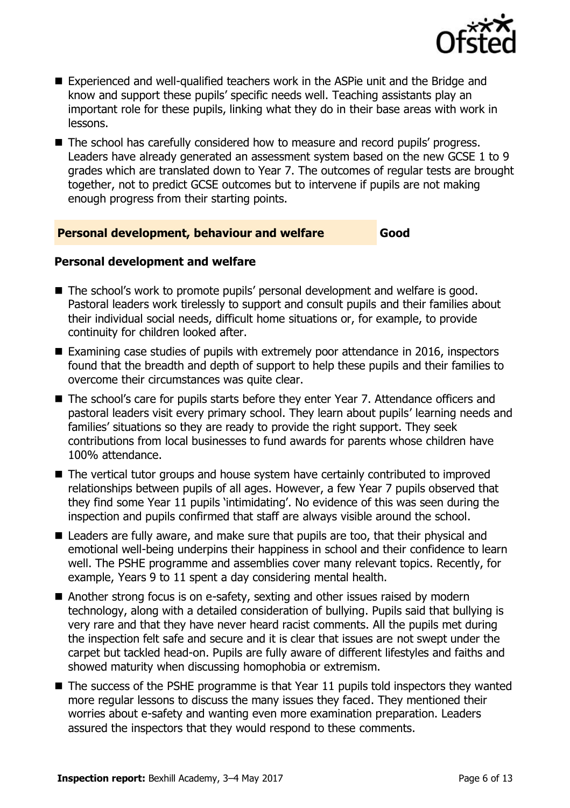

- Experienced and well-qualified teachers work in the ASPie unit and the Bridge and know and support these pupils' specific needs well. Teaching assistants play an important role for these pupils, linking what they do in their base areas with work in lessons.
- The school has carefully considered how to measure and record pupils' progress. Leaders have already generated an assessment system based on the new GCSE 1 to 9 grades which are translated down to Year 7. The outcomes of regular tests are brought together, not to predict GCSE outcomes but to intervene if pupils are not making enough progress from their starting points.

#### **Personal development, behaviour and welfare Good**

#### **Personal development and welfare**

- The school's work to promote pupils' personal development and welfare is good. Pastoral leaders work tirelessly to support and consult pupils and their families about their individual social needs, difficult home situations or, for example, to provide continuity for children looked after.
- Examining case studies of pupils with extremely poor attendance in 2016, inspectors found that the breadth and depth of support to help these pupils and their families to overcome their circumstances was quite clear.
- The school's care for pupils starts before they enter Year 7. Attendance officers and pastoral leaders visit every primary school. They learn about pupils' learning needs and families' situations so they are ready to provide the right support. They seek contributions from local businesses to fund awards for parents whose children have 100% attendance.
- The vertical tutor groups and house system have certainly contributed to improved relationships between pupils of all ages. However, a few Year 7 pupils observed that they find some Year 11 pupils 'intimidating'. No evidence of this was seen during the inspection and pupils confirmed that staff are always visible around the school.
- Leaders are fully aware, and make sure that pupils are too, that their physical and emotional well-being underpins their happiness in school and their confidence to learn well. The PSHE programme and assemblies cover many relevant topics. Recently, for example, Years 9 to 11 spent a day considering mental health.
- Another strong focus is on e-safety, sexting and other issues raised by modern technology, along with a detailed consideration of bullying. Pupils said that bullying is very rare and that they have never heard racist comments. All the pupils met during the inspection felt safe and secure and it is clear that issues are not swept under the carpet but tackled head-on. Pupils are fully aware of different lifestyles and faiths and showed maturity when discussing homophobia or extremism.
- $\blacksquare$  The success of the PSHE programme is that Year 11 pupils told inspectors they wanted more regular lessons to discuss the many issues they faced. They mentioned their worries about e-safety and wanting even more examination preparation. Leaders assured the inspectors that they would respond to these comments.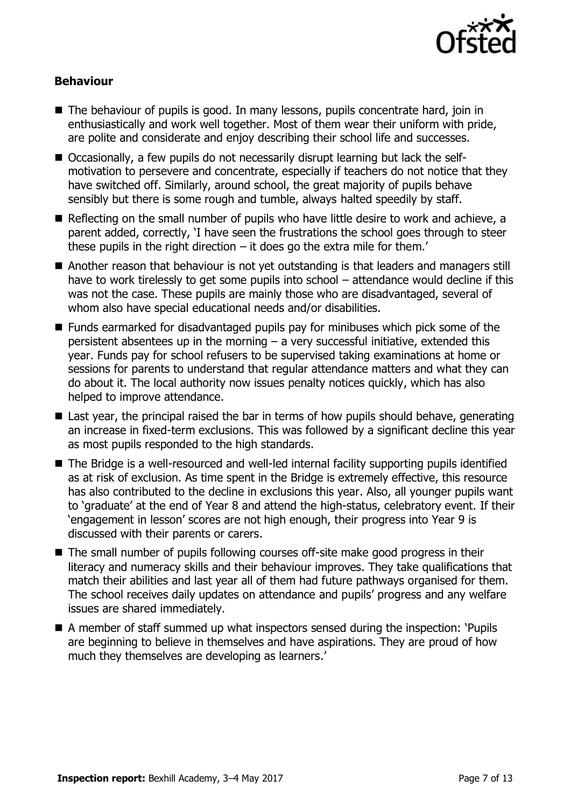

#### **Behaviour**

- The behaviour of pupils is good. In many lessons, pupils concentrate hard, join in enthusiastically and work well together. Most of them wear their uniform with pride, are polite and considerate and enjoy describing their school life and successes.
- Occasionally, a few pupils do not necessarily disrupt learning but lack the selfmotivation to persevere and concentrate, especially if teachers do not notice that they have switched off. Similarly, around school, the great majority of pupils behave sensibly but there is some rough and tumble, always halted speedily by staff.
- Reflecting on the small number of pupils who have little desire to work and achieve, a parent added, correctly, 'I have seen the frustrations the school goes through to steer these pupils in the right direction  $-$  it does go the extra mile for them.'
- Another reason that behaviour is not yet outstanding is that leaders and managers still have to work tirelessly to get some pupils into school - attendance would decline if this was not the case. These pupils are mainly those who are disadvantaged, several of whom also have special educational needs and/or disabilities.
- Funds earmarked for disadvantaged pupils pay for minibuses which pick some of the persistent absentees up in the morning – a very successful initiative, extended this year. Funds pay for school refusers to be supervised taking examinations at home or sessions for parents to understand that regular attendance matters and what they can do about it. The local authority now issues penalty notices quickly, which has also helped to improve attendance.
- Last year, the principal raised the bar in terms of how pupils should behave, generating an increase in fixed-term exclusions. This was followed by a significant decline this year as most pupils responded to the high standards.
- The Bridge is a well-resourced and well-led internal facility supporting pupils identified as at risk of exclusion. As time spent in the Bridge is extremely effective, this resource has also contributed to the decline in exclusions this year. Also, all younger pupils want to 'graduate' at the end of Year 8 and attend the high-status, celebratory event. If their 'engagement in lesson' scores are not high enough, their progress into Year 9 is discussed with their parents or carers.
- The small number of pupils following courses off-site make good progress in their literacy and numeracy skills and their behaviour improves. They take qualifications that match their abilities and last year all of them had future pathways organised for them. The school receives daily updates on attendance and pupils' progress and any welfare issues are shared immediately.
- A member of staff summed up what inspectors sensed during the inspection: 'Pupils are beginning to believe in themselves and have aspirations. They are proud of how much they themselves are developing as learners.'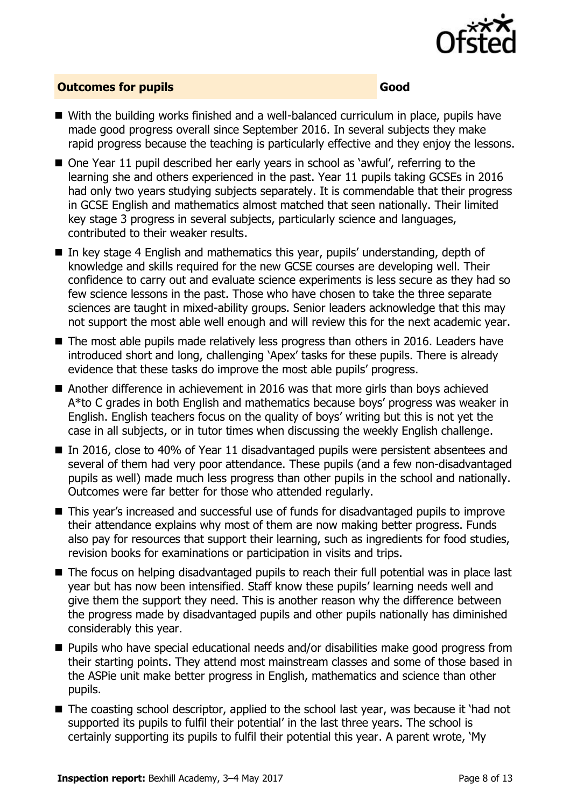

#### **Outcomes for pupils Good**

- With the building works finished and a well-balanced curriculum in place, pupils have made good progress overall since September 2016. In several subjects they make rapid progress because the teaching is particularly effective and they enjoy the lessons.
- One Year 11 pupil described her early years in school as 'awful', referring to the learning she and others experienced in the past. Year 11 pupils taking GCSEs in 2016 had only two years studying subjects separately. It is commendable that their progress in GCSE English and mathematics almost matched that seen nationally. Their limited key stage 3 progress in several subjects, particularly science and languages, contributed to their weaker results.
- In key stage 4 English and mathematics this year, pupils' understanding, depth of knowledge and skills required for the new GCSE courses are developing well. Their confidence to carry out and evaluate science experiments is less secure as they had so few science lessons in the past. Those who have chosen to take the three separate sciences are taught in mixed-ability groups. Senior leaders acknowledge that this may not support the most able well enough and will review this for the next academic year.
- $\blacksquare$  The most able pupils made relatively less progress than others in 2016. Leaders have introduced short and long, challenging 'Apex' tasks for these pupils. There is already evidence that these tasks do improve the most able pupils' progress.
- Another difference in achievement in 2016 was that more girls than boys achieved A\*to C grades in both English and mathematics because boys' progress was weaker in English. English teachers focus on the quality of boys' writing but this is not yet the case in all subjects, or in tutor times when discussing the weekly English challenge.
- In 2016, close to 40% of Year 11 disadvantaged pupils were persistent absentees and several of them had very poor attendance. These pupils (and a few non-disadvantaged pupils as well) made much less progress than other pupils in the school and nationally. Outcomes were far better for those who attended regularly.
- This year's increased and successful use of funds for disadvantaged pupils to improve their attendance explains why most of them are now making better progress. Funds also pay for resources that support their learning, such as ingredients for food studies, revision books for examinations or participation in visits and trips.
- The focus on helping disadvantaged pupils to reach their full potential was in place last year but has now been intensified. Staff know these pupils' learning needs well and give them the support they need. This is another reason why the difference between the progress made by disadvantaged pupils and other pupils nationally has diminished considerably this year.
- Pupils who have special educational needs and/or disabilities make good progress from their starting points. They attend most mainstream classes and some of those based in the ASPie unit make better progress in English, mathematics and science than other pupils.
- The coasting school descriptor, applied to the school last year, was because it 'had not supported its pupils to fulfil their potential' in the last three years. The school is certainly supporting its pupils to fulfil their potential this year. A parent wrote, 'My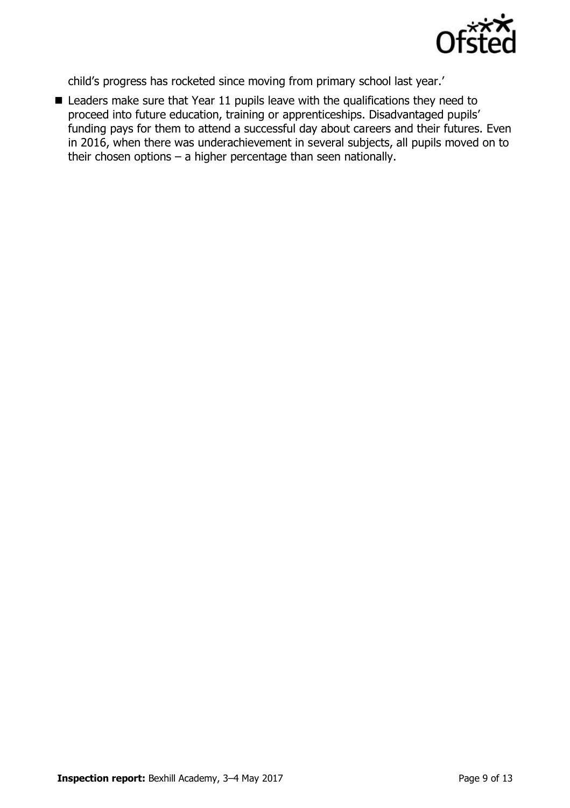

child's progress has rocketed since moving from primary school last year.'

■ Leaders make sure that Year 11 pupils leave with the qualifications they need to proceed into future education, training or apprenticeships. Disadvantaged pupils' funding pays for them to attend a successful day about careers and their futures. Even in 2016, when there was underachievement in several subjects, all pupils moved on to their chosen options – a higher percentage than seen nationally.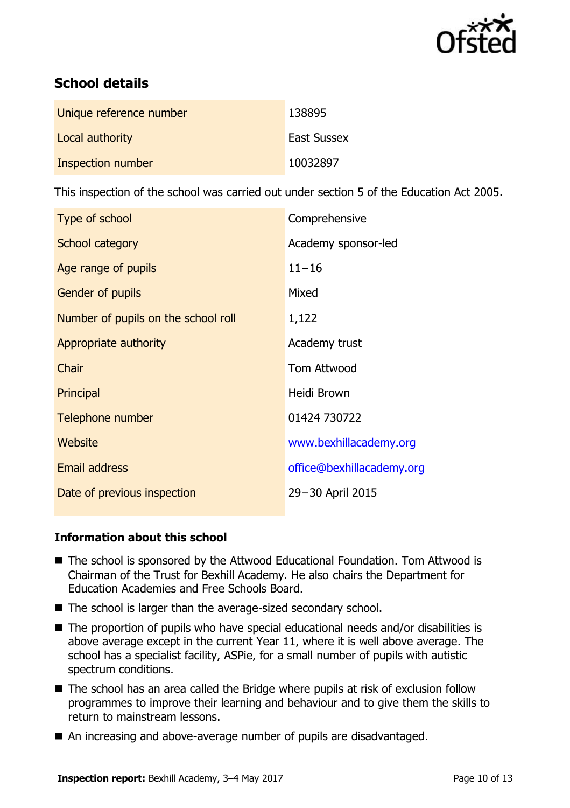

# **School details**

| Unique reference number | 138895             |
|-------------------------|--------------------|
| Local authority         | <b>East Sussex</b> |
| Inspection number       | 10032897           |

This inspection of the school was carried out under section 5 of the Education Act 2005.

| Comprehensive             |
|---------------------------|
| Academy sponsor-led       |
| $11 - 16$                 |
| Mixed                     |
| 1,122                     |
| Academy trust             |
| <b>Tom Attwood</b>        |
| Heidi Brown               |
| 01424 730722              |
| www.bexhillacademy.org    |
| office@bexhillacademy.org |
| 29-30 April 2015          |
|                           |

#### **Information about this school**

- The school is sponsored by the Attwood Educational Foundation. Tom Attwood is Chairman of the Trust for Bexhill Academy. He also chairs the Department for Education Academies and Free Schools Board.
- The school is larger than the average-sized secondary school.
- The proportion of pupils who have special educational needs and/or disabilities is above average except in the current Year 11, where it is well above average. The school has a specialist facility, ASPie, for a small number of pupils with autistic spectrum conditions.
- The school has an area called the Bridge where pupils at risk of exclusion follow programmes to improve their learning and behaviour and to give them the skills to return to mainstream lessons.
- An increasing and above-average number of pupils are disadvantaged.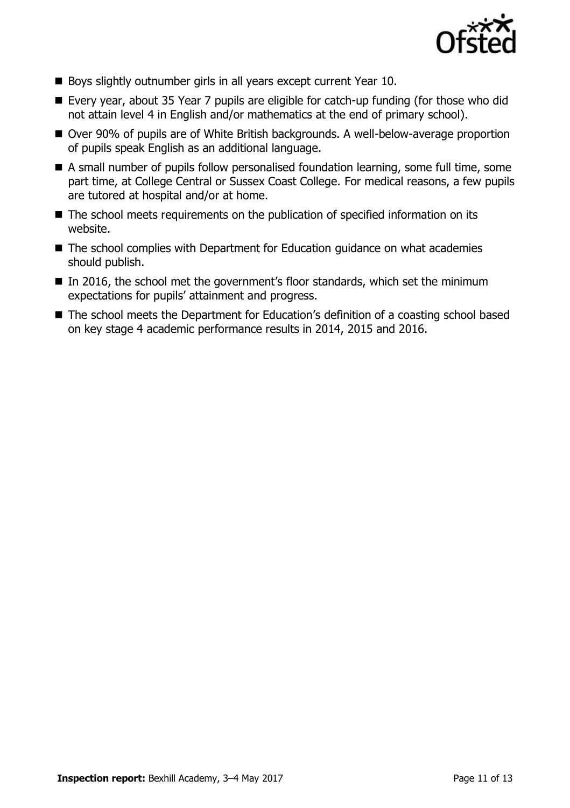

- Boys slightly outnumber girls in all years except current Year 10.
- Every year, about 35 Year 7 pupils are eligible for catch-up funding (for those who did not attain level 4 in English and/or mathematics at the end of primary school).
- Over 90% of pupils are of White British backgrounds. A well-below-average proportion of pupils speak English as an additional language.
- A small number of pupils follow personalised foundation learning, some full time, some part time, at College Central or Sussex Coast College. For medical reasons, a few pupils are tutored at hospital and/or at home.
- The school meets requirements on the publication of specified information on its website.
- The school complies with Department for Education guidance on what academies should publish.
- In 2016, the school met the government's floor standards, which set the minimum expectations for pupils' attainment and progress.
- The school meets the Department for Education's definition of a coasting school based on key stage 4 academic performance results in 2014, 2015 and 2016.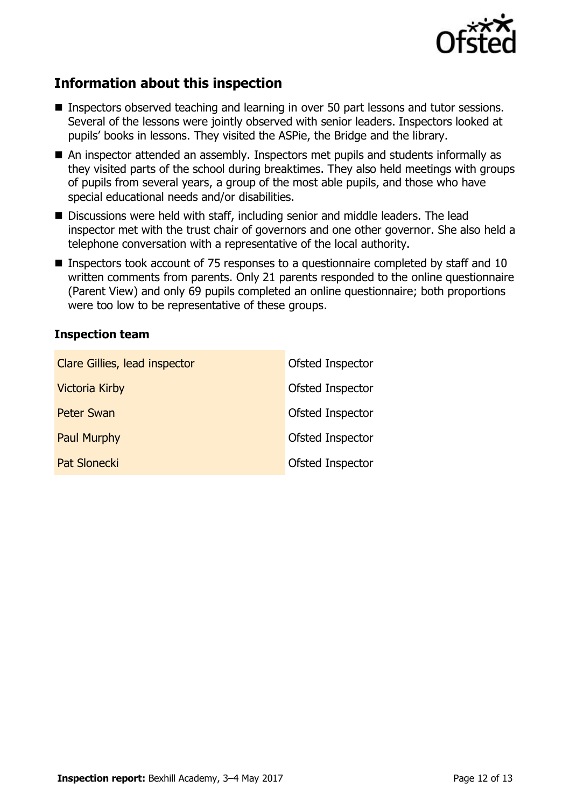

# **Information about this inspection**

- Inspectors observed teaching and learning in over 50 part lessons and tutor sessions. Several of the lessons were jointly observed with senior leaders. Inspectors looked at pupils' books in lessons. They visited the ASPie, the Bridge and the library.
- An inspector attended an assembly. Inspectors met pupils and students informally as they visited parts of the school during breaktimes. They also held meetings with groups of pupils from several years, a group of the most able pupils, and those who have special educational needs and/or disabilities.
- Discussions were held with staff, including senior and middle leaders. The lead inspector met with the trust chair of governors and one other governor. She also held a telephone conversation with a representative of the local authority.
- Inspectors took account of 75 responses to a questionnaire completed by staff and 10 written comments from parents. Only 21 parents responded to the online questionnaire (Parent View) and only 69 pupils completed an online questionnaire; both proportions were too low to be representative of these groups.

#### **Inspection team**

| Clare Gillies, lead inspector | Ofsted Inspector |
|-------------------------------|------------------|
| <b>Victoria Kirby</b>         | Ofsted Inspector |
| <b>Peter Swan</b>             | Ofsted Inspector |
| <b>Paul Murphy</b>            | Ofsted Inspector |
| <b>Pat Slonecki</b>           | Ofsted Inspector |